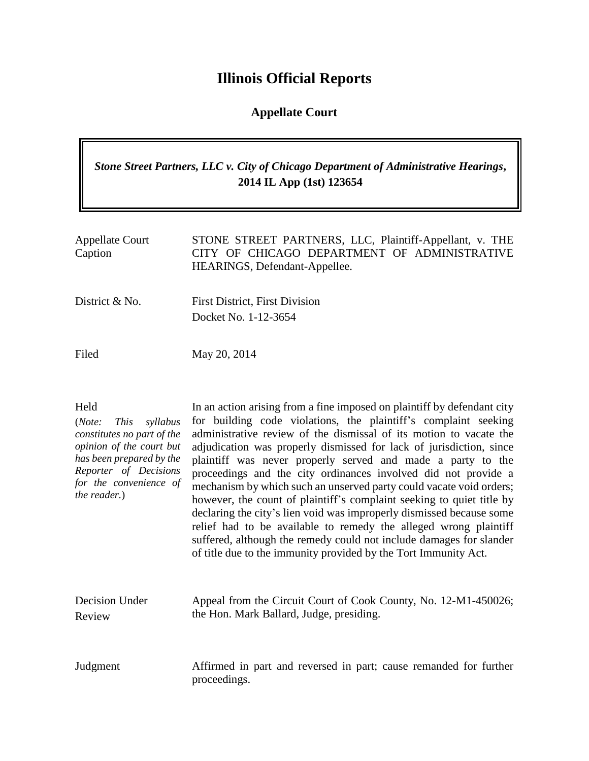# **Illinois Official Reports**

### **Appellate Court**

## *Stone Street Partners, LLC v. City of Chicago Department of Administrative Hearings***, 2014 IL App (1st) 123654**

| <b>Appellate Court</b><br>Caption | STONE STREET PARTNERS, LLC, Plaintiff-Appellant, v. THE<br>CITY OF CHICAGO DEPARTMENT OF ADMINISTRATIVE<br>HEARINGS, Defendant-Appellee. |
|-----------------------------------|------------------------------------------------------------------------------------------------------------------------------------------|
| District & No.                    | <b>First District, First Division</b><br>Docket No. 1-12-3654                                                                            |
| Filed                             | May 20, 2014                                                                                                                             |

## Held

(*Note: This syllabus constitutes no part of the opinion of the court but has been prepared by the Reporter of Decisions for the convenience of the reader.*) In an action arising from a fine imposed on plaintiff by defendant city for building code violations, the plaintiff's complaint seeking administrative review of the dismissal of its motion to vacate the adjudication was properly dismissed for lack of jurisdiction, since plaintiff was never properly served and made a party to the proceedings and the city ordinances involved did not provide a mechanism by which such an unserved party could vacate void orders; however, the count of plaintiff's complaint seeking to quiet title by declaring the city's lien void was improperly dismissed because some relief had to be available to remedy the alleged wrong plaintiff suffered, although the remedy could not include damages for slander of title due to the immunity provided by the Tort Immunity Act.

| Decision Under | Appeal from the Circuit Court of Cook County, No. 12-M1-450026; |
|----------------|-----------------------------------------------------------------|
| Review         | the Hon. Mark Ballard, Judge, presiding.                        |
|                |                                                                 |
|                |                                                                 |
|                |                                                                 |

Judgment Affirmed in part and reversed in part; cause remanded for further proceedings.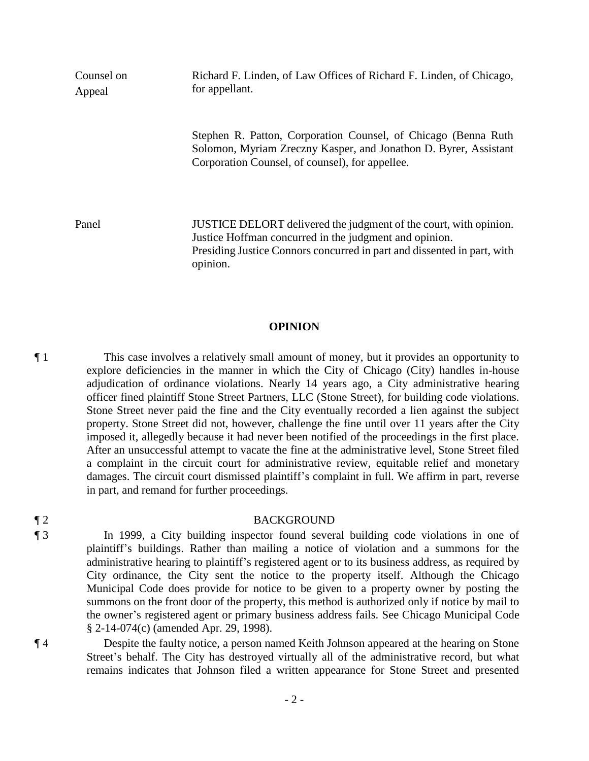| Counsel on<br>Appeal | Richard F. Linden, of Law Offices of Richard F. Linden, of Chicago,<br>for appellant.                                                                                                                              |
|----------------------|--------------------------------------------------------------------------------------------------------------------------------------------------------------------------------------------------------------------|
|                      | Stephen R. Patton, Corporation Counsel, of Chicago (Benna Ruth)<br>Solomon, Myriam Zreczny Kasper, and Jonathon D. Byrer, Assistant<br>Corporation Counsel, of counsel), for appellee.                             |
| Panel                | JUSTICE DELORT delivered the judgment of the court, with opinion.<br>Justice Hoffman concurred in the judgment and opinion.<br>Presiding Justice Connors concurred in part and dissented in part, with<br>opinion. |

#### **OPINION**

¶ 1 This case involves a relatively small amount of money, but it provides an opportunity to explore deficiencies in the manner in which the City of Chicago (City) handles in-house adjudication of ordinance violations. Nearly 14 years ago, a City administrative hearing officer fined plaintiff Stone Street Partners, LLC (Stone Street), for building code violations. Stone Street never paid the fine and the City eventually recorded a lien against the subject property. Stone Street did not, however, challenge the fine until over 11 years after the City imposed it, allegedly because it had never been notified of the proceedings in the first place. After an unsuccessful attempt to vacate the fine at the administrative level, Stone Street filed a complaint in the circuit court for administrative review, equitable relief and monetary damages. The circuit court dismissed plaintiff's complaint in full. We affirm in part, reverse in part, and remand for further proceedings.

#### ¶ 2 BACKGROUND

¶ 3 In 1999, a City building inspector found several building code violations in one of plaintiff's buildings. Rather than mailing a notice of violation and a summons for the administrative hearing to plaintiff's registered agent or to its business address, as required by City ordinance, the City sent the notice to the property itself. Although the Chicago Municipal Code does provide for notice to be given to a property owner by posting the summons on the front door of the property, this method is authorized only if notice by mail to the owner's registered agent or primary business address fails. See Chicago Municipal Code § 2-14-074(c) (amended Apr. 29, 1998).

¶ 4 Despite the faulty notice, a person named Keith Johnson appeared at the hearing on Stone Street's behalf. The City has destroyed virtually all of the administrative record, but what remains indicates that Johnson filed a written appearance for Stone Street and presented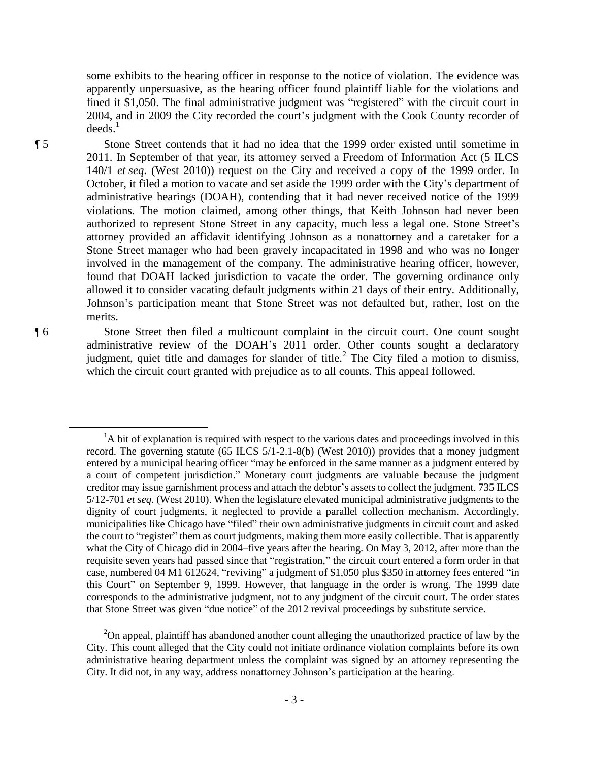some exhibits to the hearing officer in response to the notice of violation. The evidence was apparently unpersuasive, as the hearing officer found plaintiff liable for the violations and fined it \$1,050. The final administrative judgment was "registered" with the circuit court in 2004, and in 2009 the City recorded the court's judgment with the Cook County recorder of deeds. 1

¶ 5 Stone Street contends that it had no idea that the 1999 order existed until sometime in 2011. In September of that year, its attorney served a Freedom of Information Act (5 ILCS 140/1 *et seq*. (West 2010)) request on the City and received a copy of the 1999 order. In October, it filed a motion to vacate and set aside the 1999 order with the City's department of administrative hearings (DOAH), contending that it had never received notice of the 1999 violations. The motion claimed, among other things, that Keith Johnson had never been authorized to represent Stone Street in any capacity, much less a legal one. Stone Street's attorney provided an affidavit identifying Johnson as a nonattorney and a caretaker for a Stone Street manager who had been gravely incapacitated in 1998 and who was no longer involved in the management of the company. The administrative hearing officer, however, found that DOAH lacked jurisdiction to vacate the order. The governing ordinance only allowed it to consider vacating default judgments within 21 days of their entry. Additionally, Johnson's participation meant that Stone Street was not defaulted but, rather, lost on the merits.

¶ 6 Stone Street then filed a multicount complaint in the circuit court. One count sought administrative review of the DOAH's 2011 order. Other counts sought a declaratory judgment, quiet title and damages for slander of title.<sup>2</sup> The City filed a motion to dismiss, which the circuit court granted with prejudice as to all counts. This appeal followed.

 $\overline{a}$ 

<sup>&</sup>lt;sup>1</sup>A bit of explanation is required with respect to the various dates and proceedings involved in this record. The governing statute (65 ILCS 5/1-2.1-8(b) (West 2010)) provides that a money judgment entered by a municipal hearing officer "may be enforced in the same manner as a judgment entered by a court of competent jurisdiction." Monetary court judgments are valuable because the judgment creditor may issue garnishment process and attach the debtor's assets to collect the judgment. 735 ILCS 5/12-701 *et seq.* (West 2010). When the legislature elevated municipal administrative judgments to the dignity of court judgments, it neglected to provide a parallel collection mechanism. Accordingly, municipalities like Chicago have "filed" their own administrative judgments in circuit court and asked the court to "register" them as court judgments, making them more easily collectible. That is apparently what the City of Chicago did in 2004–five years after the hearing. On May 3, 2012, after more than the requisite seven years had passed since that "registration," the circuit court entered a form order in that case, numbered 04 M1 612624, "reviving" a judgment of \$1,050 plus \$350 in attorney fees entered "in this Court" on September 9, 1999. However, that language in the order is wrong. The 1999 date corresponds to the administrative judgment, not to any judgment of the circuit court. The order states that Stone Street was given "due notice" of the 2012 revival proceedings by substitute service.

 $2$ On appeal, plaintiff has abandoned another count alleging the unauthorized practice of law by the City. This count alleged that the City could not initiate ordinance violation complaints before its own administrative hearing department unless the complaint was signed by an attorney representing the City. It did not, in any way, address nonattorney Johnson's participation at the hearing.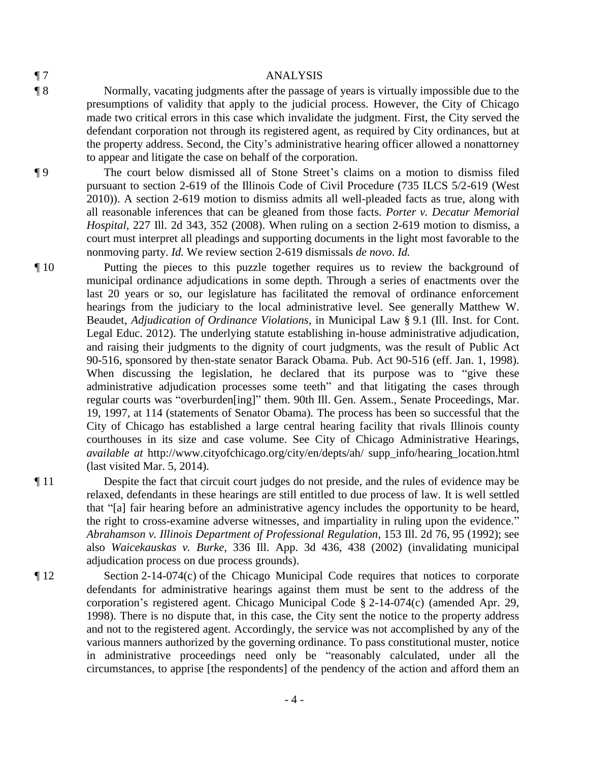## ¶ 7 ANALYSIS

¶ 8 Normally, vacating judgments after the passage of years is virtually impossible due to the presumptions of validity that apply to the judicial process. However, the City of Chicago made two critical errors in this case which invalidate the judgment. First, the City served the defendant corporation not through its registered agent, as required by City ordinances, but at the property address. Second, the City's administrative hearing officer allowed a nonattorney to appear and litigate the case on behalf of the corporation.

¶ 9 The court below dismissed all of Stone Street's claims on a motion to dismiss filed pursuant to section 2-619 of the Illinois Code of Civil Procedure (735 ILCS 5/2-619 (West 2010)). A section 2-619 motion to dismiss admits all well-pleaded facts as true, along with all reasonable inferences that can be gleaned from those facts. *Porter v. Decatur Memorial Hospital*, 227 Ill. 2d 343, 352 (2008). When ruling on a section 2-619 motion to dismiss, a court must interpret all pleadings and supporting documents in the light most favorable to the nonmoving party. *Id.* We review section 2-619 dismissals *de novo*. *Id.*

¶ 10 Putting the pieces to this puzzle together requires us to review the background of municipal ordinance adjudications in some depth. Through a series of enactments over the last 20 years or so, our legislature has facilitated the removal of ordinance enforcement hearings from the judiciary to the local administrative level. See generally Matthew W. Beaudet, *Adjudication of Ordinance Violations*, in Municipal Law § 9.1 (Ill. Inst. for Cont. Legal Educ. 2012). The underlying statute establishing in-house administrative adjudication, and raising their judgments to the dignity of court judgments, was the result of Public Act 90-516, sponsored by then-state senator Barack Obama. Pub. Act 90-516 (eff. Jan. 1, 1998). When discussing the legislation, he declared that its purpose was to "give these administrative adjudication processes some teeth" and that litigating the cases through regular courts was "overburden[ing]" them. 90th Ill. Gen. Assem., Senate Proceedings, Mar. 19, 1997, at 114 (statements of Senator Obama). The process has been so successful that the City of Chicago has established a large central hearing facility that rivals Illinois county courthouses in its size and case volume. See City of Chicago Administrative Hearings, *available at* http://www.cityofchicago.org/city/en/depts/ah/ supp\_info/hearing\_location.html (last visited Mar. 5, 2014).

¶ 11 Despite the fact that circuit court judges do not preside, and the rules of evidence may be relaxed, defendants in these hearings are still entitled to due process of law. It is well settled that "[a] fair hearing before an administrative agency includes the opportunity to be heard, the right to cross-examine adverse witnesses, and impartiality in ruling upon the evidence." *Abrahamson v. Illinois Department of Professional Regulation*, 153 Ill. 2d 76, 95 (1992); see also *Waicekauskas v. Burke*, 336 Ill. App. 3d 436, 438 (2002) (invalidating municipal adjudication process on due process grounds).

¶ 12 Section 2-14-074(c) of the Chicago Municipal Code requires that notices to corporate defendants for administrative hearings against them must be sent to the address of the corporation's registered agent. Chicago Municipal Code § 2-14-074(c) (amended Apr. 29, 1998). There is no dispute that, in this case, the City sent the notice to the property address and not to the registered agent. Accordingly, the service was not accomplished by any of the various manners authorized by the governing ordinance. To pass constitutional muster, notice in administrative proceedings need only be "reasonably calculated, under all the circumstances, to apprise [the respondents] of the pendency of the action and afford them an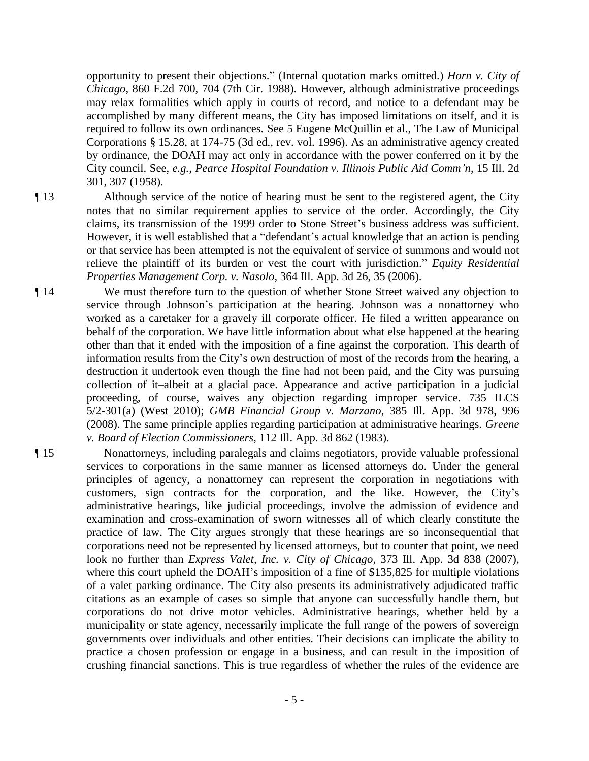opportunity to present their objections." (Internal quotation marks omitted.) *Horn v. City of Chicago*, 860 F.2d 700, 704 (7th Cir. 1988). However, although administrative proceedings may relax formalities which apply in courts of record, and notice to a defendant may be accomplished by many different means, the City has imposed limitations on itself, and it is required to follow its own ordinances. See 5 Eugene McQuillin et al., The Law of Municipal Corporations § 15.28, at 174-75 (3d ed., rev. vol. 1996). As an administrative agency created by ordinance, the DOAH may act only in accordance with the power conferred on it by the City council. See, *e.g.*, *Pearce Hospital Foundation v. Illinois Public Aid Comm'n*, 15 Ill. 2d 301, 307 (1958).

¶ 13 Although service of the notice of hearing must be sent to the registered agent, the City notes that no similar requirement applies to service of the order. Accordingly, the City claims, its transmission of the 1999 order to Stone Street's business address was sufficient. However, it is well established that a "defendant's actual knowledge that an action is pending or that service has been attempted is not the equivalent of service of summons and would not relieve the plaintiff of its burden or vest the court with jurisdiction." *Equity Residential Properties Management Corp. v. Nasolo*, 364 Ill. App. 3d 26, 35 (2006).

¶ 14 We must therefore turn to the question of whether Stone Street waived any objection to service through Johnson's participation at the hearing. Johnson was a nonattorney who worked as a caretaker for a gravely ill corporate officer. He filed a written appearance on behalf of the corporation. We have little information about what else happened at the hearing other than that it ended with the imposition of a fine against the corporation. This dearth of information results from the City's own destruction of most of the records from the hearing, a destruction it undertook even though the fine had not been paid, and the City was pursuing collection of it–albeit at a glacial pace. Appearance and active participation in a judicial proceeding, of course, waives any objection regarding improper service. 735 ILCS 5/2-301(a) (West 2010); *GMB Financial Group v. Marzano*, 385 Ill. App. 3d 978, 996 (2008). The same principle applies regarding participation at administrative hearings. *Greene v. Board of Election Commissioners*, 112 Ill. App. 3d 862 (1983).

¶ 15 Nonattorneys, including paralegals and claims negotiators, provide valuable professional services to corporations in the same manner as licensed attorneys do. Under the general principles of agency, a nonattorney can represent the corporation in negotiations with customers, sign contracts for the corporation, and the like. However, the City's administrative hearings, like judicial proceedings, involve the admission of evidence and examination and cross-examination of sworn witnesses–all of which clearly constitute the practice of law. The City argues strongly that these hearings are so inconsequential that corporations need not be represented by licensed attorneys, but to counter that point, we need look no further than *Express Valet, Inc. v. City of Chicago*, 373 Ill. App. 3d 838 (2007), where this court upheld the DOAH's imposition of a fine of \$135,825 for multiple violations of a valet parking ordinance. The City also presents its administratively adjudicated traffic citations as an example of cases so simple that anyone can successfully handle them, but corporations do not drive motor vehicles. Administrative hearings, whether held by a municipality or state agency, necessarily implicate the full range of the powers of sovereign governments over individuals and other entities. Their decisions can implicate the ability to practice a chosen profession or engage in a business, and can result in the imposition of crushing financial sanctions. This is true regardless of whether the rules of the evidence are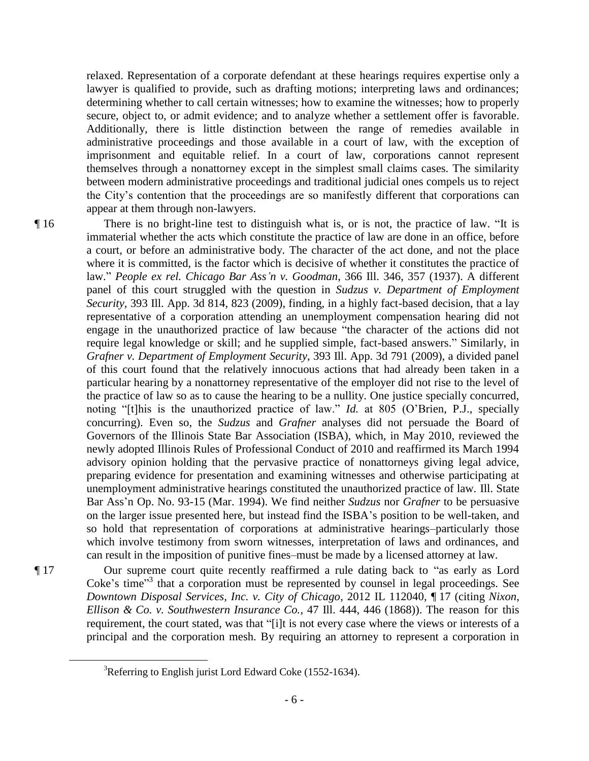relaxed. Representation of a corporate defendant at these hearings requires expertise only a lawyer is qualified to provide, such as drafting motions; interpreting laws and ordinances; determining whether to call certain witnesses; how to examine the witnesses; how to properly secure, object to, or admit evidence; and to analyze whether a settlement offer is favorable. Additionally, there is little distinction between the range of remedies available in administrative proceedings and those available in a court of law, with the exception of imprisonment and equitable relief. In a court of law, corporations cannot represent themselves through a nonattorney except in the simplest small claims cases. The similarity between modern administrative proceedings and traditional judicial ones compels us to reject the City's contention that the proceedings are so manifestly different that corporations can appear at them through non-lawyers.

¶ 16 There is no bright-line test to distinguish what is, or is not, the practice of law. "It is immaterial whether the acts which constitute the practice of law are done in an office, before a court, or before an administrative body. The character of the act done, and not the place where it is committed, is the factor which is decisive of whether it constitutes the practice of law." *People ex rel. Chicago Bar Ass'n v. Goodman*, 366 Ill. 346, 357 (1937). A different panel of this court struggled with the question in *Sudzus v. Department of Employment Security*, 393 Ill. App. 3d 814, 823 (2009), finding, in a highly fact-based decision, that a lay representative of a corporation attending an unemployment compensation hearing did not engage in the unauthorized practice of law because "the character of the actions did not require legal knowledge or skill; and he supplied simple, fact-based answers." Similarly, in *Grafner v. Department of Employment Security*, 393 Ill. App. 3d 791 (2009), a divided panel of this court found that the relatively innocuous actions that had already been taken in a particular hearing by a nonattorney representative of the employer did not rise to the level of the practice of law so as to cause the hearing to be a nullity. One justice specially concurred, noting "[t]his is the unauthorized practice of law." *Id.* at 805 (O'Brien, P.J., specially concurring). Even so, the *Sudzus* and *Grafner* analyses did not persuade the Board of Governors of the Illinois State Bar Association (ISBA), which, in May 2010, reviewed the newly adopted Illinois Rules of Professional Conduct of 2010 and reaffirmed its March 1994 advisory opinion holding that the pervasive practice of nonattorneys giving legal advice, preparing evidence for presentation and examining witnesses and otherwise participating at unemployment administrative hearings constituted the unauthorized practice of law. Ill. State Bar Ass'n Op. No. 93-15 (Mar. 1994). We find neither *Sudzus* nor *Grafner* to be persuasive on the larger issue presented here, but instead find the ISBA's position to be well-taken, and so hold that representation of corporations at administrative hearings–particularly those which involve testimony from sworn witnesses, interpretation of laws and ordinances, and can result in the imposition of punitive fines–must be made by a licensed attorney at law.

¶ 17 Our supreme court quite recently reaffirmed a rule dating back to "as early as Lord Coke's time"<sup>3</sup> that a corporation must be represented by counsel in legal proceedings. See *Downtown Disposal Services, Inc. v. City of Chicago*, 2012 IL 112040, ¶ 17 (citing *Nixon, Ellison & Co. v. Southwestern Insurance Co.*, 47 Ill. 444, 446 (1868)). The reason for this requirement, the court stated, was that "[i]t is not every case where the views or interests of a principal and the corporation mesh. By requiring an attorney to represent a corporation in

 $\overline{a}$ 

<sup>3</sup>Referring to English jurist Lord Edward Coke (1552-1634).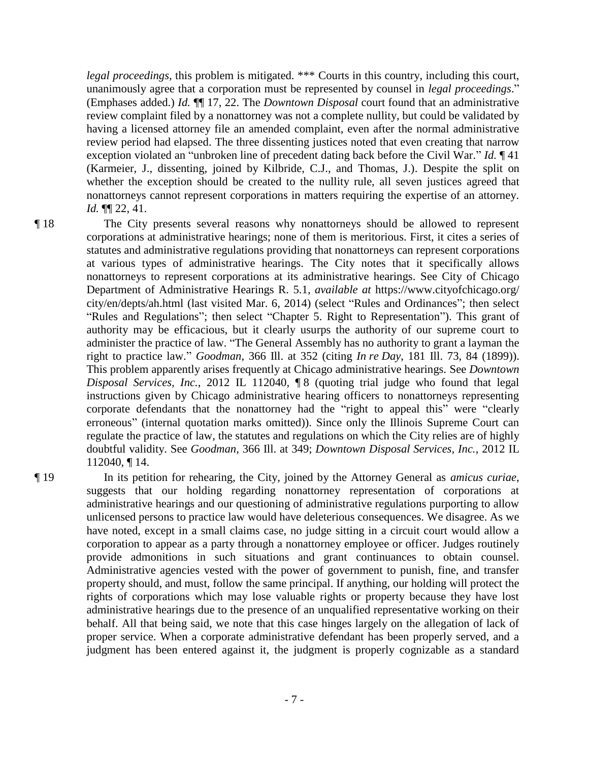*legal proceedings*, this problem is mitigated. \*\*\* Courts in this country, including this court, unanimously agree that a corporation must be represented by counsel in *legal proceedings*." (Emphases added.) *Id.* ¶¶ 17, 22. The *Downtown Disposal* court found that an administrative review complaint filed by a nonattorney was not a complete nullity, but could be validated by having a licensed attorney file an amended complaint, even after the normal administrative review period had elapsed. The three dissenting justices noted that even creating that narrow exception violated an "unbroken line of precedent dating back before the Civil War." *Id.* ¶ 41 (Karmeier, J., dissenting, joined by Kilbride, C.J., and Thomas, J.). Despite the split on whether the exception should be created to the nullity rule, all seven justices agreed that nonattorneys cannot represent corporations in matters requiring the expertise of an attorney. *Id.* ¶¶ 22, 41.

¶ 18 The City presents several reasons why nonattorneys should be allowed to represent corporations at administrative hearings; none of them is meritorious. First, it cites a series of statutes and administrative regulations providing that nonattorneys can represent corporations at various types of administrative hearings. The City notes that it specifically allows nonattorneys to represent corporations at its administrative hearings. See City of Chicago Department of Administrative Hearings R. 5.1, *available at* https://www.cityofchicago.org/ city/en/depts/ah.html (last visited Mar. 6, 2014) (select "Rules and Ordinances"; then select "Rules and Regulations"; then select "Chapter 5. Right to Representation"). This grant of authority may be efficacious, but it clearly usurps the authority of our supreme court to administer the practice of law. "The General Assembly has no authority to grant a layman the right to practice law." *Goodman*, 366 Ill. at 352 (citing *In re Day*, 181 Ill. 73, 84 (1899)). This problem apparently arises frequently at Chicago administrative hearings. See *Downtown Disposal Services, Inc.*, 2012 IL 112040, ¶ 8 (quoting trial judge who found that legal instructions given by Chicago administrative hearing officers to nonattorneys representing corporate defendants that the nonattorney had the "right to appeal this" were "clearly erroneous" (internal quotation marks omitted)). Since only the Illinois Supreme Court can regulate the practice of law, the statutes and regulations on which the City relies are of highly doubtful validity. See *Goodman*, 366 Ill. at 349; *Downtown Disposal Services, Inc.*, 2012 IL 112040, ¶ 14.

¶ 19 In its petition for rehearing, the City, joined by the Attorney General as *amicus curiae*, suggests that our holding regarding nonattorney representation of corporations at administrative hearings and our questioning of administrative regulations purporting to allow unlicensed persons to practice law would have deleterious consequences. We disagree. As we have noted, except in a small claims case, no judge sitting in a circuit court would allow a corporation to appear as a party through a nonattorney employee or officer. Judges routinely provide admonitions in such situations and grant continuances to obtain counsel. Administrative agencies vested with the power of government to punish, fine, and transfer property should, and must, follow the same principal. If anything, our holding will protect the rights of corporations which may lose valuable rights or property because they have lost administrative hearings due to the presence of an unqualified representative working on their behalf. All that being said, we note that this case hinges largely on the allegation of lack of proper service. When a corporate administrative defendant has been properly served, and a judgment has been entered against it, the judgment is properly cognizable as a standard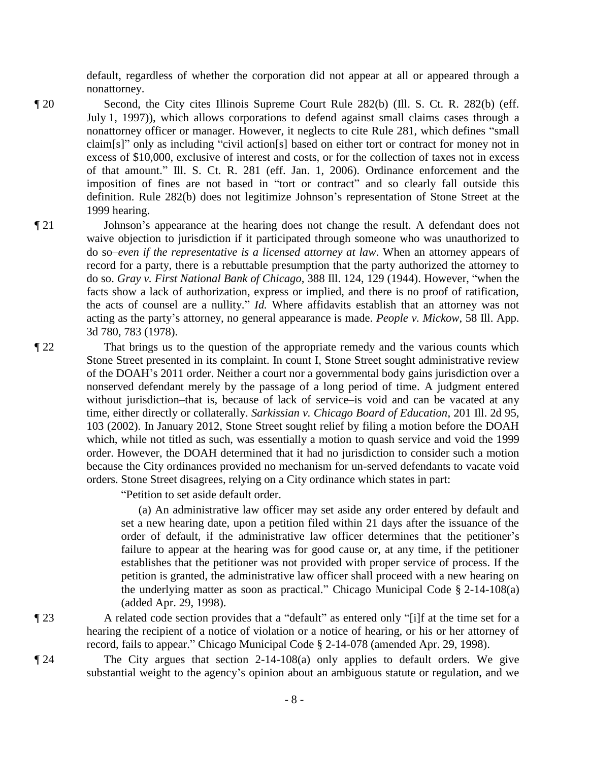default, regardless of whether the corporation did not appear at all or appeared through a nonattorney.

- ¶ 20 Second, the City cites Illinois Supreme Court Rule 282(b) (Ill. S. Ct. R. 282(b) (eff. July 1, 1997)), which allows corporations to defend against small claims cases through a nonattorney officer or manager. However, it neglects to cite Rule 281, which defines "small claim[s]" only as including "civil action[s] based on either tort or contract for money not in excess of \$10,000, exclusive of interest and costs, or for the collection of taxes not in excess of that amount." Ill. S. Ct. R. 281 (eff. Jan. 1, 2006). Ordinance enforcement and the imposition of fines are not based in "tort or contract" and so clearly fall outside this definition. Rule 282(b) does not legitimize Johnson's representation of Stone Street at the 1999 hearing.
- ¶ 21 Johnson's appearance at the hearing does not change the result. A defendant does not waive objection to jurisdiction if it participated through someone who was unauthorized to do so–*even if the representative is a licensed attorney at law*. When an attorney appears of record for a party, there is a rebuttable presumption that the party authorized the attorney to do so. *Gray v. First National Bank of Chicago*, 388 Ill. 124, 129 (1944). However, "when the facts show a lack of authorization, express or implied, and there is no proof of ratification, the acts of counsel are a nullity." *Id.* Where affidavits establish that an attorney was not acting as the party's attorney, no general appearance is made. *People v. Mickow*, 58 Ill. App. 3d 780, 783 (1978).
- ¶ 22 That brings us to the question of the appropriate remedy and the various counts which Stone Street presented in its complaint. In count I, Stone Street sought administrative review of the DOAH's 2011 order. Neither a court nor a governmental body gains jurisdiction over a nonserved defendant merely by the passage of a long period of time. A judgment entered without jurisdiction–that is, because of lack of service–is void and can be vacated at any time, either directly or collaterally. *Sarkissian v. Chicago Board of Education*, 201 Ill. 2d 95, 103 (2002). In January 2012, Stone Street sought relief by filing a motion before the DOAH which, while not titled as such, was essentially a motion to quash service and void the 1999 order. However, the DOAH determined that it had no jurisdiction to consider such a motion because the City ordinances provided no mechanism for un-served defendants to vacate void orders. Stone Street disagrees, relying on a City ordinance which states in part:

"Petition to set aside default order.

(a) An administrative law officer may set aside any order entered by default and set a new hearing date, upon a petition filed within 21 days after the issuance of the order of default, if the administrative law officer determines that the petitioner's failure to appear at the hearing was for good cause or, at any time, if the petitioner establishes that the petitioner was not provided with proper service of process. If the petition is granted, the administrative law officer shall proceed with a new hearing on the underlying matter as soon as practical." Chicago Municipal Code § 2-14-108(a) (added Apr. 29, 1998).

¶ 23 A related code section provides that a "default" as entered only "[i]f at the time set for a hearing the recipient of a notice of violation or a notice of hearing, or his or her attorney of record, fails to appear." Chicago Municipal Code § 2-14-078 (amended Apr. 29, 1998).

¶ 24 The City argues that section 2-14-108(a) only applies to default orders. We give substantial weight to the agency's opinion about an ambiguous statute or regulation, and we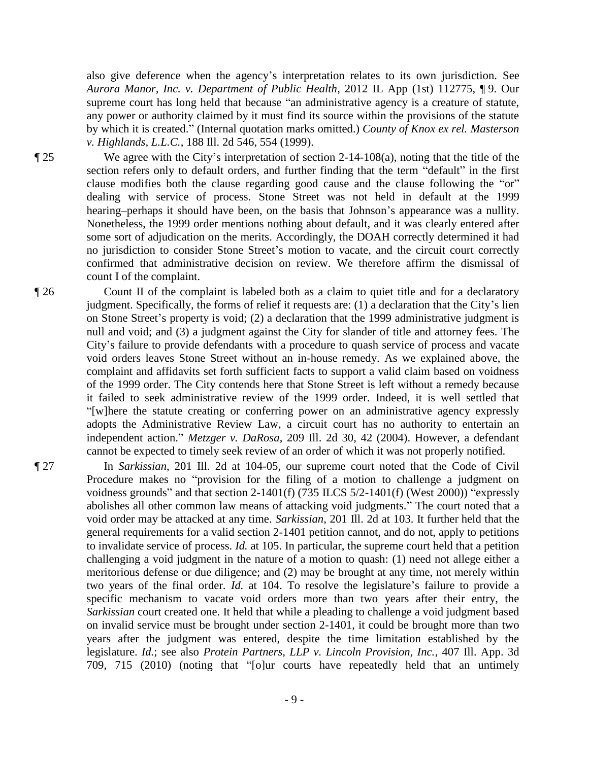also give deference when the agency's interpretation relates to its own jurisdiction. See *Aurora Manor, Inc. v. Department of Public Health*, 2012 IL App (1st) 112775, ¶ 9. Our supreme court has long held that because "an administrative agency is a creature of statute, any power or authority claimed by it must find its source within the provisions of the statute by which it is created." (Internal quotation marks omitted.) *County of Knox ex rel. Masterson v. Highlands, L.L.C.*, 188 Ill. 2d 546, 554 (1999).

¶ 25 We agree with the City's interpretation of section 2-14-108(a), noting that the title of the section refers only to default orders, and further finding that the term "default" in the first clause modifies both the clause regarding good cause and the clause following the "or" dealing with service of process. Stone Street was not held in default at the 1999 hearing–perhaps it should have been, on the basis that Johnson's appearance was a nullity. Nonetheless, the 1999 order mentions nothing about default, and it was clearly entered after some sort of adjudication on the merits. Accordingly, the DOAH correctly determined it had no jurisdiction to consider Stone Street's motion to vacate, and the circuit court correctly confirmed that administrative decision on review. We therefore affirm the dismissal of count I of the complaint.

¶ 26 Count II of the complaint is labeled both as a claim to quiet title and for a declaratory judgment. Specifically, the forms of relief it requests are: (1) a declaration that the City's lien on Stone Street's property is void; (2) a declaration that the 1999 administrative judgment is null and void; and (3) a judgment against the City for slander of title and attorney fees. The City's failure to provide defendants with a procedure to quash service of process and vacate void orders leaves Stone Street without an in-house remedy. As we explained above, the complaint and affidavits set forth sufficient facts to support a valid claim based on voidness of the 1999 order. The City contends here that Stone Street is left without a remedy because it failed to seek administrative review of the 1999 order. Indeed, it is well settled that "[w]here the statute creating or conferring power on an administrative agency expressly adopts the Administrative Review Law, a circuit court has no authority to entertain an independent action." *Metzger v. DaRosa*, 209 Ill. 2d 30, 42 (2004). However, a defendant cannot be expected to timely seek review of an order of which it was not properly notified.

¶ 27 In *Sarkissian*, 201 Ill. 2d at 104-05, our supreme court noted that the Code of Civil Procedure makes no "provision for the filing of a motion to challenge a judgment on voidness grounds" and that section 2-1401(f) (735 ILCS 5/2-1401(f) (West 2000)) "expressly abolishes all other common law means of attacking void judgments." The court noted that a void order may be attacked at any time. *Sarkissian*, 201 Ill. 2d at 103. It further held that the general requirements for a valid section 2-1401 petition cannot, and do not, apply to petitions to invalidate service of process. *Id.* at 105. In particular, the supreme court held that a petition challenging a void judgment in the nature of a motion to quash: (1) need not allege either a meritorious defense or due diligence; and (2) may be brought at any time, not merely within two years of the final order. *Id.* at 104. To resolve the legislature's failure to provide a specific mechanism to vacate void orders more than two years after their entry, the *Sarkissian* court created one. It held that while a pleading to challenge a void judgment based on invalid service must be brought under section 2-1401, it could be brought more than two years after the judgment was entered, despite the time limitation established by the legislature. *Id.*; see also *Protein Partners, LLP v. Lincoln Provision, Inc.*, 407 Ill. App. 3d 709, 715 (2010) (noting that "[o]ur courts have repeatedly held that an untimely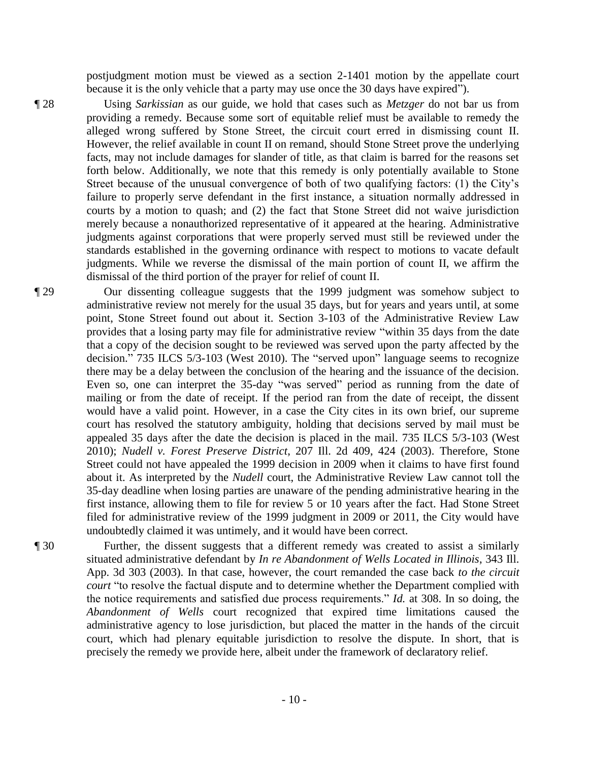postjudgment motion must be viewed as a section 2-1401 motion by the appellate court because it is the only vehicle that a party may use once the 30 days have expired").

¶ 28 Using *Sarkissian* as our guide, we hold that cases such as *Metzger* do not bar us from providing a remedy. Because some sort of equitable relief must be available to remedy the alleged wrong suffered by Stone Street, the circuit court erred in dismissing count II. However, the relief available in count II on remand, should Stone Street prove the underlying facts, may not include damages for slander of title, as that claim is barred for the reasons set forth below. Additionally, we note that this remedy is only potentially available to Stone Street because of the unusual convergence of both of two qualifying factors: (1) the City's failure to properly serve defendant in the first instance, a situation normally addressed in courts by a motion to quash; and (2) the fact that Stone Street did not waive jurisdiction merely because a nonauthorized representative of it appeared at the hearing. Administrative judgments against corporations that were properly served must still be reviewed under the standards established in the governing ordinance with respect to motions to vacate default judgments. While we reverse the dismissal of the main portion of count II, we affirm the dismissal of the third portion of the prayer for relief of count II.

¶ 29 Our dissenting colleague suggests that the 1999 judgment was somehow subject to administrative review not merely for the usual 35 days, but for years and years until, at some point, Stone Street found out about it. Section 3-103 of the Administrative Review Law provides that a losing party may file for administrative review "within 35 days from the date that a copy of the decision sought to be reviewed was served upon the party affected by the decision." 735 ILCS 5/3-103 (West 2010). The "served upon" language seems to recognize there may be a delay between the conclusion of the hearing and the issuance of the decision. Even so, one can interpret the 35-day "was served" period as running from the date of mailing or from the date of receipt. If the period ran from the date of receipt, the dissent would have a valid point. However, in a case the City cites in its own brief, our supreme court has resolved the statutory ambiguity, holding that decisions served by mail must be appealed 35 days after the date the decision is placed in the mail. 735 ILCS 5/3-103 (West 2010); *Nudell v. Forest Preserve District*, 207 Ill. 2d 409, 424 (2003). Therefore, Stone Street could not have appealed the 1999 decision in 2009 when it claims to have first found about it. As interpreted by the *Nudell* court, the Administrative Review Law cannot toll the 35-day deadline when losing parties are unaware of the pending administrative hearing in the first instance, allowing them to file for review 5 or 10 years after the fact. Had Stone Street filed for administrative review of the 1999 judgment in 2009 or 2011, the City would have undoubtedly claimed it was untimely, and it would have been correct.

¶ 30 Further, the dissent suggests that a different remedy was created to assist a similarly situated administrative defendant by *In re Abandonment of Wells Located in Illinois*, 343 Ill. App. 3d 303 (2003). In that case, however, the court remanded the case back *to the circuit court* "to resolve the factual dispute and to determine whether the Department complied with the notice requirements and satisfied due process requirements." *Id.* at 308. In so doing, the *Abandonment of Wells* court recognized that expired time limitations caused the administrative agency to lose jurisdiction, but placed the matter in the hands of the circuit court, which had plenary equitable jurisdiction to resolve the dispute. In short, that is precisely the remedy we provide here, albeit under the framework of declaratory relief.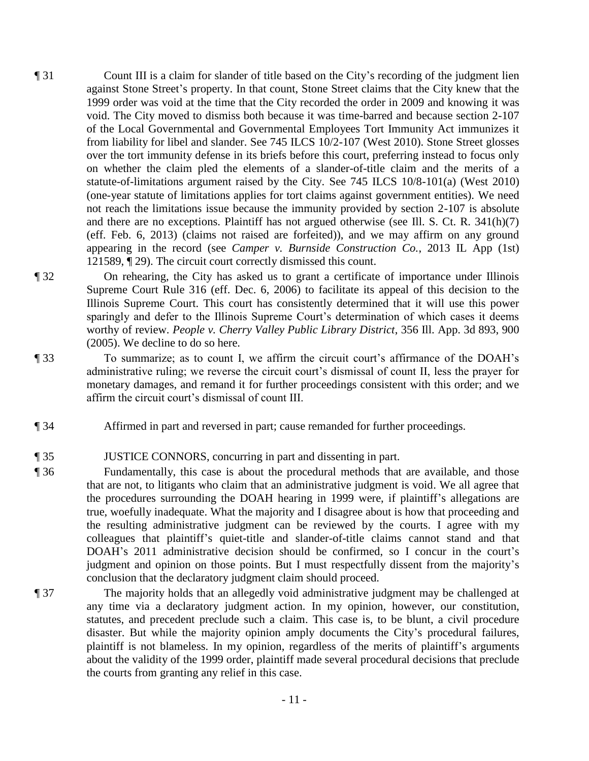- ¶ 31 Count III is a claim for slander of title based on the City's recording of the judgment lien against Stone Street's property. In that count, Stone Street claims that the City knew that the 1999 order was void at the time that the City recorded the order in 2009 and knowing it was void. The City moved to dismiss both because it was time-barred and because section 2-107 of the Local Governmental and Governmental Employees Tort Immunity Act immunizes it from liability for libel and slander. See 745 ILCS 10/2-107 (West 2010). Stone Street glosses over the tort immunity defense in its briefs before this court, preferring instead to focus only on whether the claim pled the elements of a slander-of-title claim and the merits of a statute-of-limitations argument raised by the City. See 745 ILCS 10/8-101(a) (West 2010) (one-year statute of limitations applies for tort claims against government entities). We need not reach the limitations issue because the immunity provided by section 2-107 is absolute and there are no exceptions. Plaintiff has not argued otherwise (see Ill. S. Ct. R. 341(h)(7) (eff. Feb. 6, 2013) (claims not raised are forfeited)), and we may affirm on any ground appearing in the record (see *Camper v. Burnside Construction Co.*, 2013 IL App (1st) 121589, ¶ 29). The circuit court correctly dismissed this count.
- ¶ 32 On rehearing, the City has asked us to grant a certificate of importance under Illinois Supreme Court Rule 316 (eff. Dec. 6, 2006) to facilitate its appeal of this decision to the Illinois Supreme Court. This court has consistently determined that it will use this power sparingly and defer to the Illinois Supreme Court's determination of which cases it deems worthy of review. *People v. Cherry Valley Public Library District*, 356 Ill. App. 3d 893, 900 (2005). We decline to do so here.
- ¶ 33 To summarize; as to count I, we affirm the circuit court's affirmance of the DOAH's administrative ruling; we reverse the circuit court's dismissal of count II, less the prayer for monetary damages, and remand it for further proceedings consistent with this order; and we affirm the circuit court's dismissal of count III.
- ¶ 34 Affirmed in part and reversed in part; cause remanded for further proceedings.
- ¶ 35 JUSTICE CONNORS, concurring in part and dissenting in part.
- ¶ 36 Fundamentally, this case is about the procedural methods that are available, and those that are not, to litigants who claim that an administrative judgment is void. We all agree that the procedures surrounding the DOAH hearing in 1999 were, if plaintiff's allegations are true, woefully inadequate. What the majority and I disagree about is how that proceeding and the resulting administrative judgment can be reviewed by the courts. I agree with my colleagues that plaintiff's quiet-title and slander-of-title claims cannot stand and that DOAH's 2011 administrative decision should be confirmed, so I concur in the court's judgment and opinion on those points. But I must respectfully dissent from the majority's conclusion that the declaratory judgment claim should proceed.
- ¶ 37 The majority holds that an allegedly void administrative judgment may be challenged at any time via a declaratory judgment action. In my opinion, however, our constitution, statutes, and precedent preclude such a claim. This case is, to be blunt, a civil procedure disaster. But while the majority opinion amply documents the City's procedural failures, plaintiff is not blameless. In my opinion, regardless of the merits of plaintiff's arguments about the validity of the 1999 order, plaintiff made several procedural decisions that preclude the courts from granting any relief in this case.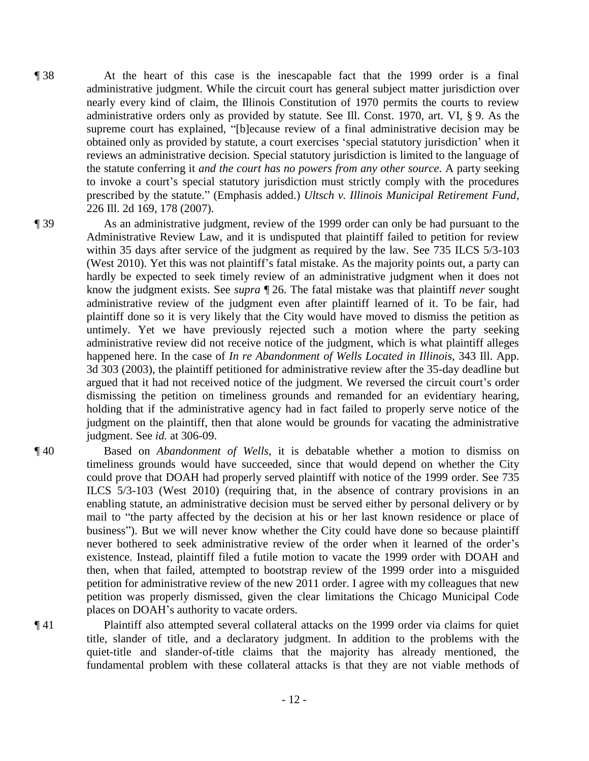- ¶ 38 At the heart of this case is the inescapable fact that the 1999 order is a final administrative judgment. While the circuit court has general subject matter jurisdiction over nearly every kind of claim, the Illinois Constitution of 1970 permits the courts to review administrative orders only as provided by statute. See Ill. Const. 1970, art. VI, § 9. As the supreme court has explained, "[b]ecause review of a final administrative decision may be obtained only as provided by statute, a court exercises 'special statutory jurisdiction' when it reviews an administrative decision. Special statutory jurisdiction is limited to the language of the statute conferring it *and the court has no powers from any other source*. A party seeking to invoke a court's special statutory jurisdiction must strictly comply with the procedures prescribed by the statute." (Emphasis added.) *Ultsch v. Illinois Municipal Retirement Fund*, 226 Ill. 2d 169, 178 (2007).
- 

¶ 39 As an administrative judgment, review of the 1999 order can only be had pursuant to the Administrative Review Law, and it is undisputed that plaintiff failed to petition for review within 35 days after service of the judgment as required by the law. See 735 ILCS 5/3-103 (West 2010). Yet this was not plaintiff's fatal mistake. As the majority points out, a party can hardly be expected to seek timely review of an administrative judgment when it does not know the judgment exists. See *supra* ¶ 26. The fatal mistake was that plaintiff *never* sought administrative review of the judgment even after plaintiff learned of it. To be fair, had plaintiff done so it is very likely that the City would have moved to dismiss the petition as untimely. Yet we have previously rejected such a motion where the party seeking administrative review did not receive notice of the judgment, which is what plaintiff alleges happened here. In the case of *In re Abandonment of Wells Located in Illinois*, 343 Ill. App. 3d 303 (2003), the plaintiff petitioned for administrative review after the 35-day deadline but argued that it had not received notice of the judgment. We reversed the circuit court's order dismissing the petition on timeliness grounds and remanded for an evidentiary hearing, holding that if the administrative agency had in fact failed to properly serve notice of the judgment on the plaintiff, then that alone would be grounds for vacating the administrative judgment. See *id.* at 306-09.

- ¶ 40 Based on *Abandonment of Wells*, it is debatable whether a motion to dismiss on timeliness grounds would have succeeded, since that would depend on whether the City could prove that DOAH had properly served plaintiff with notice of the 1999 order. See 735 ILCS 5/3-103 (West 2010) (requiring that, in the absence of contrary provisions in an enabling statute, an administrative decision must be served either by personal delivery or by mail to "the party affected by the decision at his or her last known residence or place of business"). But we will never know whether the City could have done so because plaintiff never bothered to seek administrative review of the order when it learned of the order's existence. Instead, plaintiff filed a futile motion to vacate the 1999 order with DOAH and then, when that failed, attempted to bootstrap review of the 1999 order into a misguided petition for administrative review of the new 2011 order. I agree with my colleagues that new petition was properly dismissed, given the clear limitations the Chicago Municipal Code places on DOAH's authority to vacate orders.
- ¶ 41 Plaintiff also attempted several collateral attacks on the 1999 order via claims for quiet title, slander of title, and a declaratory judgment. In addition to the problems with the quiet-title and slander-of-title claims that the majority has already mentioned, the fundamental problem with these collateral attacks is that they are not viable methods of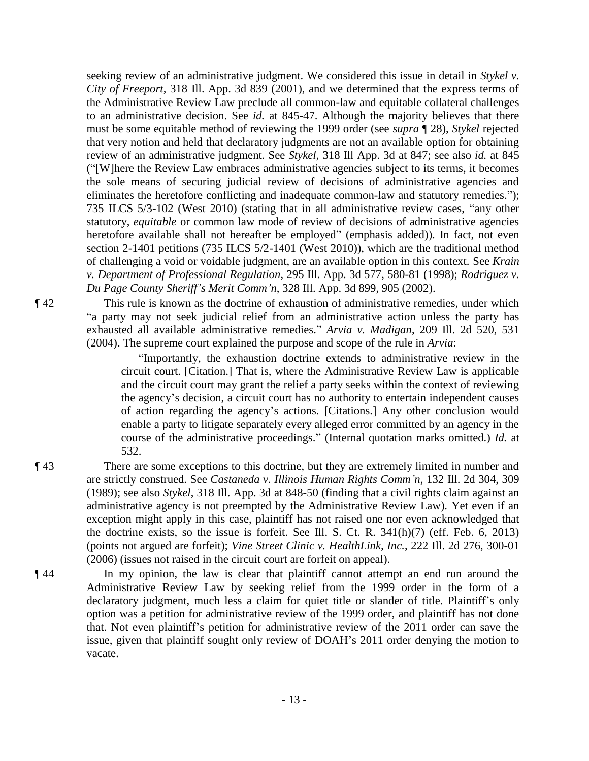seeking review of an administrative judgment. We considered this issue in detail in *Stykel v. City of Freeport*, 318 Ill. App. 3d 839 (2001), and we determined that the express terms of the Administrative Review Law preclude all common-law and equitable collateral challenges to an administrative decision. See *id.* at 845-47. Although the majority believes that there must be some equitable method of reviewing the 1999 order (see *supra* ¶ 28), *Stykel* rejected that very notion and held that declaratory judgments are not an available option for obtaining review of an administrative judgment. See *Stykel*, 318 Ill App. 3d at 847; see also *id.* at 845 ("[W]here the Review Law embraces administrative agencies subject to its terms, it becomes the sole means of securing judicial review of decisions of administrative agencies and eliminates the heretofore conflicting and inadequate common-law and statutory remedies."); 735 ILCS 5/3-102 (West 2010) (stating that in all administrative review cases, "any other statutory, *equitable* or common law mode of review of decisions of administrative agencies heretofore available shall not hereafter be employed" (emphasis added)). In fact, not even section 2-1401 petitions (735 ILCS 5/2-1401 (West 2010)), which are the traditional method of challenging a void or voidable judgment, are an available option in this context. See *Krain v. Department of Professional Regulation*, 295 Ill. App. 3d 577, 580-81 (1998); *Rodriguez v. Du Page County Sheriff's Merit Comm'n*, 328 Ill. App. 3d 899, 905 (2002).

¶ 42 This rule is known as the doctrine of exhaustion of administrative remedies, under which "a party may not seek judicial relief from an administrative action unless the party has exhausted all available administrative remedies." *Arvia v. Madigan*, 209 Ill. 2d 520, 531 (2004). The supreme court explained the purpose and scope of the rule in *Arvia*:

> "Importantly, the exhaustion doctrine extends to administrative review in the circuit court. [Citation.] That is, where the Administrative Review Law is applicable and the circuit court may grant the relief a party seeks within the context of reviewing the agency's decision, a circuit court has no authority to entertain independent causes of action regarding the agency's actions. [Citations.] Any other conclusion would enable a party to litigate separately every alleged error committed by an agency in the course of the administrative proceedings." (Internal quotation marks omitted.) *Id.* at 532.

- ¶ 43 There are some exceptions to this doctrine, but they are extremely limited in number and are strictly construed. See *Castaneda v. Illinois Human Rights Comm'n*, 132 Ill. 2d 304, 309 (1989); see also *Stykel*, 318 Ill. App. 3d at 848-50 (finding that a civil rights claim against an administrative agency is not preempted by the Administrative Review Law). Yet even if an exception might apply in this case, plaintiff has not raised one nor even acknowledged that the doctrine exists, so the issue is forfeit. See Ill. S. Ct. R. 341(h)(7) (eff. Feb. 6, 2013) (points not argued are forfeit); *Vine Street Clinic v. HealthLink, Inc.*, 222 Ill. 2d 276, 300-01 (2006) (issues not raised in the circuit court are forfeit on appeal).
- ¶ 44 In my opinion, the law is clear that plaintiff cannot attempt an end run around the Administrative Review Law by seeking relief from the 1999 order in the form of a declaratory judgment, much less a claim for quiet title or slander of title. Plaintiff's only option was a petition for administrative review of the 1999 order, and plaintiff has not done that. Not even plaintiff's petition for administrative review of the 2011 order can save the issue, given that plaintiff sought only review of DOAH's 2011 order denying the motion to vacate.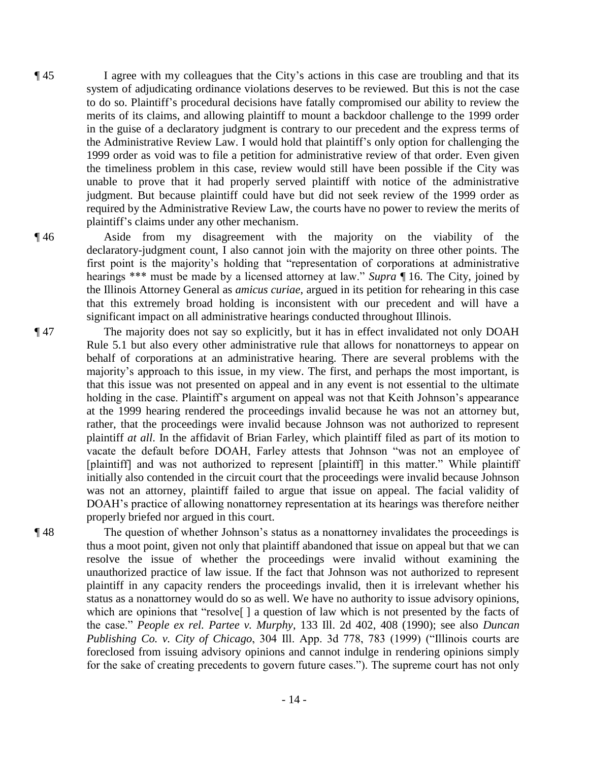- ¶ 45 I agree with my colleagues that the City's actions in this case are troubling and that its system of adjudicating ordinance violations deserves to be reviewed. But this is not the case to do so. Plaintiff's procedural decisions have fatally compromised our ability to review the merits of its claims, and allowing plaintiff to mount a backdoor challenge to the 1999 order in the guise of a declaratory judgment is contrary to our precedent and the express terms of the Administrative Review Law. I would hold that plaintiff's only option for challenging the 1999 order as void was to file a petition for administrative review of that order. Even given the timeliness problem in this case, review would still have been possible if the City was unable to prove that it had properly served plaintiff with notice of the administrative judgment. But because plaintiff could have but did not seek review of the 1999 order as required by the Administrative Review Law, the courts have no power to review the merits of plaintiff's claims under any other mechanism.
- ¶ 46 Aside from my disagreement with the majority on the viability of the declaratory-judgment count, I also cannot join with the majority on three other points. The first point is the majority's holding that "representation of corporations at administrative hearings \*\*\* must be made by a licensed attorney at law." *Supra* ¶ 16. The City, joined by the Illinois Attorney General as *amicus curiae*, argued in its petition for rehearing in this case that this extremely broad holding is inconsistent with our precedent and will have a significant impact on all administrative hearings conducted throughout Illinois.
- ¶ 47 The majority does not say so explicitly, but it has in effect invalidated not only DOAH Rule 5.1 but also every other administrative rule that allows for nonattorneys to appear on behalf of corporations at an administrative hearing. There are several problems with the majority's approach to this issue, in my view. The first, and perhaps the most important, is that this issue was not presented on appeal and in any event is not essential to the ultimate holding in the case. Plaintiff's argument on appeal was not that Keith Johnson's appearance at the 1999 hearing rendered the proceedings invalid because he was not an attorney but, rather, that the proceedings were invalid because Johnson was not authorized to represent plaintiff *at all*. In the affidavit of Brian Farley, which plaintiff filed as part of its motion to vacate the default before DOAH, Farley attests that Johnson "was not an employee of [plaintiff] and was not authorized to represent [plaintiff] in this matter." While plaintiff initially also contended in the circuit court that the proceedings were invalid because Johnson was not an attorney, plaintiff failed to argue that issue on appeal. The facial validity of DOAH's practice of allowing nonattorney representation at its hearings was therefore neither properly briefed nor argued in this court.
- 

¶ 48 The question of whether Johnson's status as a nonattorney invalidates the proceedings is thus a moot point, given not only that plaintiff abandoned that issue on appeal but that we can resolve the issue of whether the proceedings were invalid without examining the unauthorized practice of law issue. If the fact that Johnson was not authorized to represent plaintiff in any capacity renders the proceedings invalid, then it is irrelevant whether his status as a nonattorney would do so as well. We have no authority to issue advisory opinions, which are opinions that "resolve<sup>[]</sup> a question of law which is not presented by the facts of the case." *People ex rel. Partee v. Murphy*, 133 Ill. 2d 402, 408 (1990); see also *Duncan Publishing Co. v. City of Chicago*, 304 Ill. App. 3d 778, 783 (1999) ("Illinois courts are foreclosed from issuing advisory opinions and cannot indulge in rendering opinions simply for the sake of creating precedents to govern future cases."). The supreme court has not only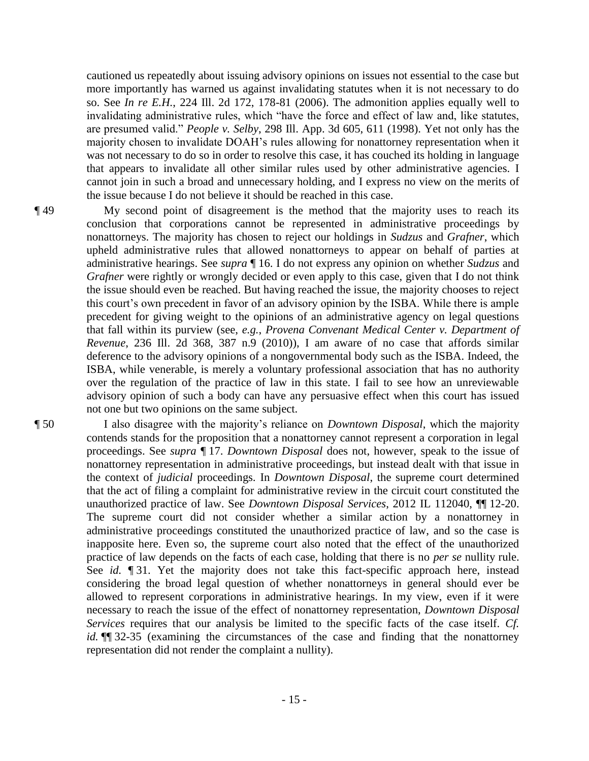cautioned us repeatedly about issuing advisory opinions on issues not essential to the case but more importantly has warned us against invalidating statutes when it is not necessary to do so. See *In re E.H.*, 224 Ill. 2d 172, 178-81 (2006). The admonition applies equally well to invalidating administrative rules, which "have the force and effect of law and, like statutes, are presumed valid." *People v. Selby*, 298 Ill. App. 3d 605, 611 (1998). Yet not only has the majority chosen to invalidate DOAH's rules allowing for nonattorney representation when it was not necessary to do so in order to resolve this case, it has couched its holding in language that appears to invalidate all other similar rules used by other administrative agencies. I cannot join in such a broad and unnecessary holding, and I express no view on the merits of the issue because I do not believe it should be reached in this case.

¶ 49 My second point of disagreement is the method that the majority uses to reach its conclusion that corporations cannot be represented in administrative proceedings by nonattorneys. The majority has chosen to reject our holdings in *Sudzus* and *Grafner*, which upheld administrative rules that allowed nonattorneys to appear on behalf of parties at administrative hearings. See *supra* ¶ 16. I do not express any opinion on whether *Sudzus* and *Grafner* were rightly or wrongly decided or even apply to this case, given that I do not think the issue should even be reached. But having reached the issue, the majority chooses to reject this court's own precedent in favor of an advisory opinion by the ISBA. While there is ample precedent for giving weight to the opinions of an administrative agency on legal questions that fall within its purview (see, *e.g.*, *Provena Convenant Medical Center v. Department of Revenue*, 236 Ill. 2d 368, 387 n.9 (2010)), I am aware of no case that affords similar deference to the advisory opinions of a nongovernmental body such as the ISBA. Indeed, the ISBA, while venerable, is merely a voluntary professional association that has no authority over the regulation of the practice of law in this state. I fail to see how an unreviewable advisory opinion of such a body can have any persuasive effect when this court has issued not one but two opinions on the same subject.

¶ 50 I also disagree with the majority's reliance on *Downtown Disposal*, which the majority contends stands for the proposition that a nonattorney cannot represent a corporation in legal proceedings. See *supra* ¶ 17. *Downtown Disposal* does not, however, speak to the issue of nonattorney representation in administrative proceedings, but instead dealt with that issue in the context of *judicial* proceedings. In *Downtown Disposal*, the supreme court determined that the act of filing a complaint for administrative review in the circuit court constituted the unauthorized practice of law. See *Downtown Disposal Services*, 2012 IL 112040, ¶¶ 12-20. The supreme court did not consider whether a similar action by a nonattorney in administrative proceedings constituted the unauthorized practice of law, and so the case is inapposite here. Even so, the supreme court also noted that the effect of the unauthorized practice of law depends on the facts of each case, holding that there is no *per se* nullity rule. See *id.* ¶ 31. Yet the majority does not take this fact-specific approach here, instead considering the broad legal question of whether nonattorneys in general should ever be allowed to represent corporations in administrative hearings. In my view, even if it were necessary to reach the issue of the effect of nonattorney representation, *Downtown Disposal Services* requires that our analysis be limited to the specific facts of the case itself. *Cf. id.* ¶¶ 32-35 (examining the circumstances of the case and finding that the nonattorney representation did not render the complaint a nullity).